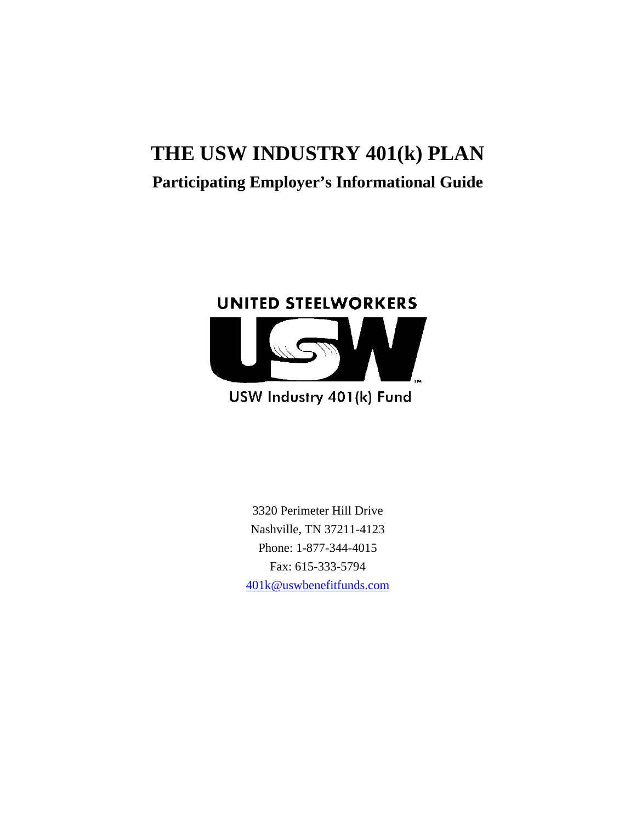# **THE USW INDUSTRY 401(k) PLAN Participating Employer's Informational Guide**



## USW Industry 401(k) Fund

3320 Perimeter Hill Drive Nashville, TN 37211-4123 Phone: 1-877-344-4015 Fax: 615-333-5794 401k@uswbenefitfunds.com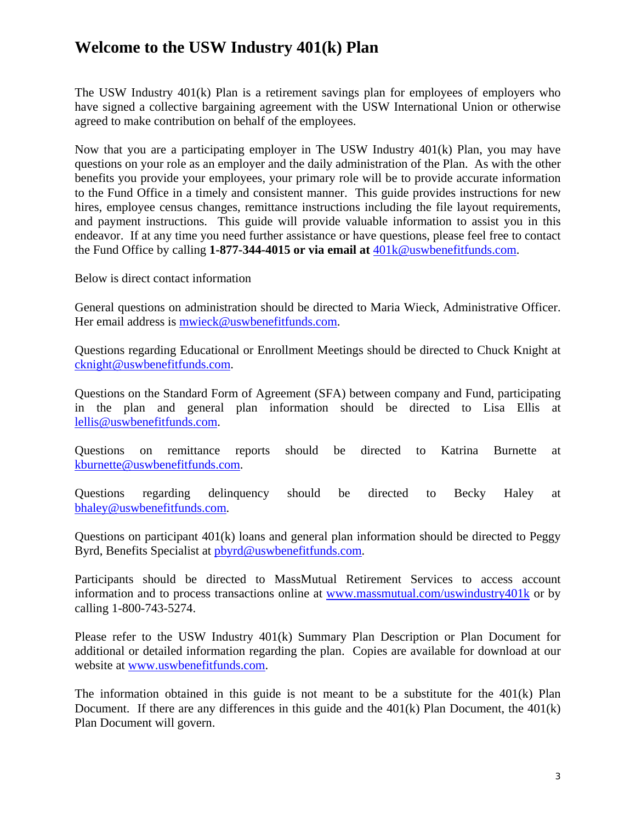### **Welcome to the USW Industry 401(k) Plan**

The USW Industry 401(k) Plan is a retirement savings plan for employees of employers who have signed a collective bargaining agreement with the USW International Union or otherwise agreed to make contribution on behalf of the employees.

Now that you are a participating employer in The USW Industry 401(k) Plan, you may have questions on your role as an employer and the daily administration of the Plan. As with the other benefits you provide your employees, your primary role will be to provide accurate information to the Fund Office in a timely and consistent manner. This guide provides instructions for new hires, employee census changes, remittance instructions including the file layout requirements, and payment instructions. This guide will provide valuable information to assist you in this endeavor. If at any time you need further assistance or have questions, please feel free to contact the Fund Office by calling **1-877-344-4015 or via email at** 401k@uswbenefitfunds.com.

Below is direct contact information

General questions on administration should be directed to Maria Wieck, Administrative Officer. Her email address is mwieck@uswbenefitfunds.com.

Questions regarding Educational or Enrollment Meetings should be directed to Chuck Knight at cknight@uswbenefitfunds.com.

Questions on the Standard Form of Agreement (SFA) between company and Fund, participating in the plan and general plan information should be directed to Lisa Ellis at lellis@uswbenefitfunds.com.

Questions on remittance reports should be directed to Katrina Burnette at kburnette@uswbenefitfunds.com.

Questions regarding delinquency should be directed to Becky Haley at bhaley@uswbenefitfunds.com.

Questions on participant  $401(k)$  loans and general plan information should be directed to Peggy Byrd, Benefits Specialist at pbyrd@uswbenefitfunds.com.

Participants should be directed to MassMutual Retirement Services to access account information and to process transactions online at www.massmutual.com/uswindustry401k or by calling 1-800-743-5274.

Please refer to the USW Industry 401(k) Summary Plan Description or Plan Document for additional or detailed information regarding the plan. Copies are available for download at our website at www.uswbenefitfunds.com.

The information obtained in this guide is not meant to be a substitute for the 401(k) Plan Document. If there are any differences in this guide and the 401(k) Plan Document, the 401(k) Plan Document will govern.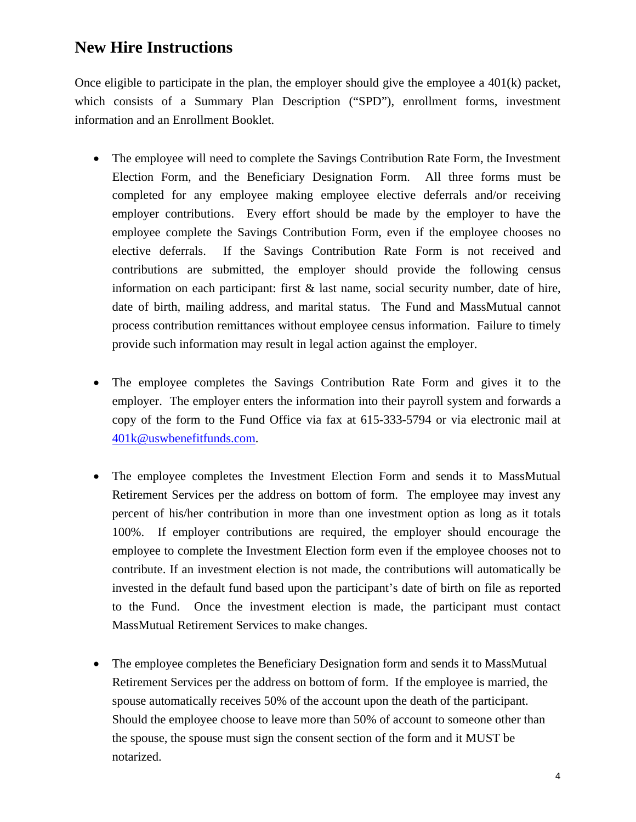### **New Hire Instructions**

Once eligible to participate in the plan, the employer should give the employee a  $401(k)$  packet, which consists of a Summary Plan Description ("SPD"), enrollment forms, investment information and an Enrollment Booklet.

- The employee will need to complete the Savings Contribution Rate Form, the Investment Election Form, and the Beneficiary Designation Form. All three forms must be completed for any employee making employee elective deferrals and/or receiving employer contributions. Every effort should be made by the employer to have the employee complete the Savings Contribution Form, even if the employee chooses no elective deferrals. If the Savings Contribution Rate Form is not received and contributions are submitted, the employer should provide the following census information on each participant: first & last name, social security number, date of hire, date of birth, mailing address, and marital status. The Fund and MassMutual cannot process contribution remittances without employee census information. Failure to timely provide such information may result in legal action against the employer.
- The employee completes the Savings Contribution Rate Form and gives it to the employer. The employer enters the information into their payroll system and forwards a copy of the form to the Fund Office via fax at 615-333-5794 or via electronic mail at 401k@uswbenefitfunds.com.
- The employee completes the Investment Election Form and sends it to MassMutual Retirement Services per the address on bottom of form. The employee may invest any percent of his/her contribution in more than one investment option as long as it totals 100%. If employer contributions are required, the employer should encourage the employee to complete the Investment Election form even if the employee chooses not to contribute. If an investment election is not made, the contributions will automatically be invested in the default fund based upon the participant's date of birth on file as reported to the Fund. Once the investment election is made, the participant must contact MassMutual Retirement Services to make changes.
- The employee completes the Beneficiary Designation form and sends it to MassMutual Retirement Services per the address on bottom of form. If the employee is married, the spouse automatically receives 50% of the account upon the death of the participant. Should the employee choose to leave more than 50% of account to someone other than the spouse, the spouse must sign the consent section of the form and it MUST be notarized.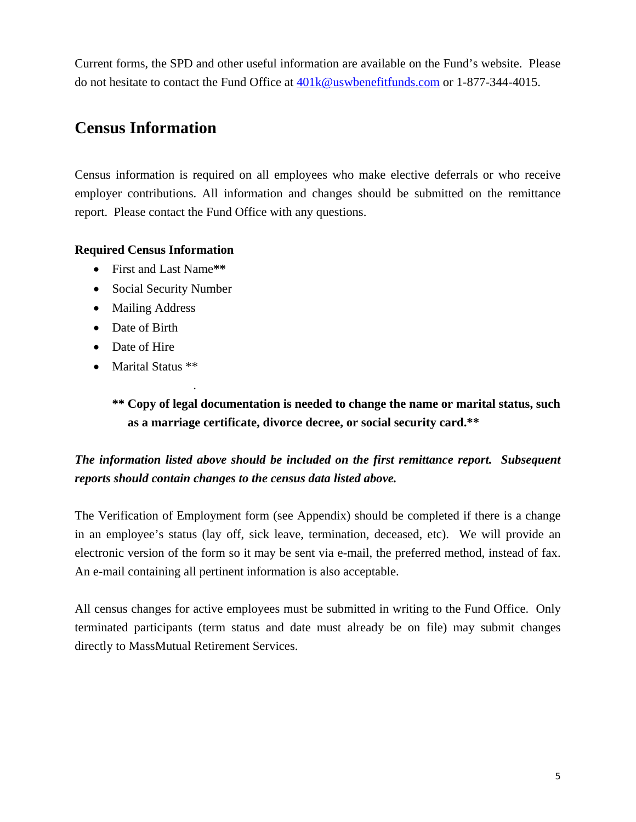Current forms, the SPD and other useful information are available on the Fund's website. Please do not hesitate to contact the Fund Office at 401k@uswbenefitfunds.com or 1-877-344-4015.

### **Census Information**

Census information is required on all employees who make elective deferrals or who receive employer contributions. All information and changes should be submitted on the remittance report. Please contact the Fund Office with any questions.

#### **Required Census Information**

- First and Last Name**\*\***
- Social Security Number
- Mailing Address
- Date of Birth
- Date of Hire

.

• Marital Status \*\*

**\*\* Copy of legal documentation is needed to change the name or marital status, such as a marriage certificate, divorce decree, or social security card.\*\*** 

#### *The information listed above should be included on the first remittance report. Subsequent reports should contain changes to the census data listed above.*

The Verification of Employment form (see Appendix) should be completed if there is a change in an employee's status (lay off, sick leave, termination, deceased, etc). We will provide an electronic version of the form so it may be sent via e-mail, the preferred method, instead of fax. An e-mail containing all pertinent information is also acceptable.

All census changes for active employees must be submitted in writing to the Fund Office. Only terminated participants (term status and date must already be on file) may submit changes directly to MassMutual Retirement Services.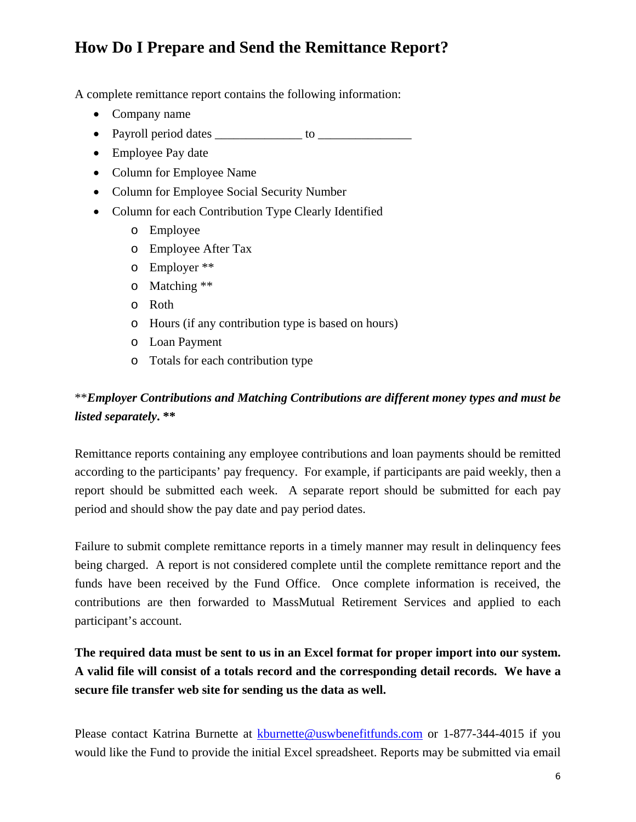## **How Do I Prepare and Send the Remittance Report?**

A complete remittance report contains the following information:

- Company name
- Payroll period dates \_\_\_\_\_\_\_\_\_\_\_\_\_\_ to \_\_\_\_\_\_\_\_\_\_\_\_\_\_\_
- Employee Pay date
- Column for Employee Name
- Column for Employee Social Security Number
- Column for each Contribution Type Clearly Identified
	- o Employee
	- o Employee After Tax
	- o Employer \*\*
	- o Matching \*\*
	- o Roth
	- o Hours (if any contribution type is based on hours)
	- o Loan Payment
	- o Totals for each contribution type

#### \*\**Employer Contributions and Matching Contributions are different money types and must be listed separately***. \*\***

Remittance reports containing any employee contributions and loan payments should be remitted according to the participants' pay frequency. For example, if participants are paid weekly, then a report should be submitted each week. A separate report should be submitted for each pay period and should show the pay date and pay period dates.

Failure to submit complete remittance reports in a timely manner may result in delinquency fees being charged. A report is not considered complete until the complete remittance report and the funds have been received by the Fund Office. Once complete information is received, the contributions are then forwarded to MassMutual Retirement Services and applied to each participant's account.

**The required data must be sent to us in an Excel format for proper import into our system. A valid file will consist of a totals record and the corresponding detail records. We have a secure file transfer web site for sending us the data as well.** 

Please contact Katrina Burnette at kburnette@uswbenefitfunds.com or 1-877-344-4015 if you would like the Fund to provide the initial Excel spreadsheet. Reports may be submitted via email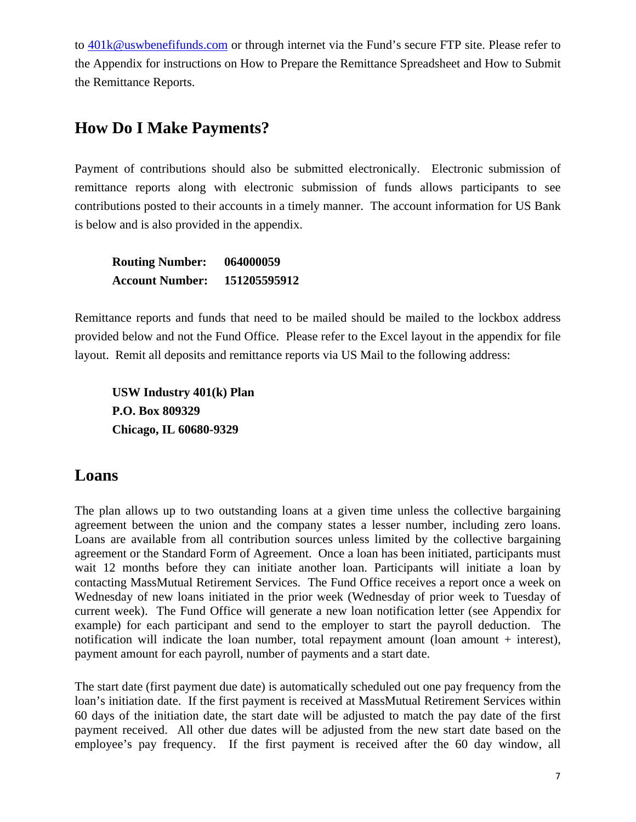to  $401k@$ uswbenefifunds.com or through internet via the Fund's secure FTP site. Please refer to the Appendix for instructions on How to Prepare the Remittance Spreadsheet and How to Submit the Remittance Reports.

#### **How Do I Make Payments?**

Payment of contributions should also be submitted electronically. Electronic submission of remittance reports along with electronic submission of funds allows participants to see contributions posted to their accounts in a timely manner. The account information for US Bank is below and is also provided in the appendix.

| <b>Routing Number:</b> | 064000059    |
|------------------------|--------------|
| <b>Account Number:</b> | 151205595912 |

Remittance reports and funds that need to be mailed should be mailed to the lockbox address provided below and not the Fund Office. Please refer to the Excel layout in the appendix for file layout. Remit all deposits and remittance reports via US Mail to the following address:

**USW Industry 401(k) Plan P.O. Box 809329 Chicago, IL 60680-9329** 

#### **Loans**

The plan allows up to two outstanding loans at a given time unless the collective bargaining agreement between the union and the company states a lesser number, including zero loans. Loans are available from all contribution sources unless limited by the collective bargaining agreement or the Standard Form of Agreement. Once a loan has been initiated, participants must wait 12 months before they can initiate another loan. Participants will initiate a loan by contacting MassMutual Retirement Services. The Fund Office receives a report once a week on Wednesday of new loans initiated in the prior week (Wednesday of prior week to Tuesday of current week). The Fund Office will generate a new loan notification letter (see Appendix for example) for each participant and send to the employer to start the payroll deduction. The notification will indicate the loan number, total repayment amount (loan amount  $+$  interest), payment amount for each payroll, number of payments and a start date.

The start date (first payment due date) is automatically scheduled out one pay frequency from the loan's initiation date. If the first payment is received at MassMutual Retirement Services within 60 days of the initiation date, the start date will be adjusted to match the pay date of the first payment received. All other due dates will be adjusted from the new start date based on the employee's pay frequency. If the first payment is received after the 60 day window, all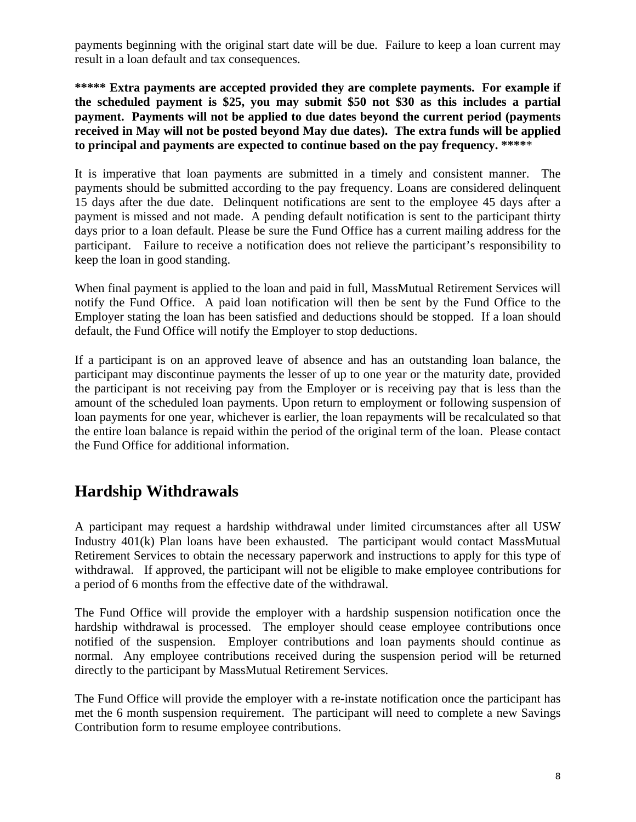payments beginning with the original start date will be due. Failure to keep a loan current may result in a loan default and tax consequences.

\*\*\*\*\* Extra payments are accepted provided they are complete payments. For example if **the scheduled payment is \$25, you may submit \$50 not \$30 as this includes a partial payment. Payments will not be applied to due dates beyond the current period (payments received in May will not be posted beyond May due dates). The extra funds will be applied to principal and payments are expected to continue based on the pay frequency. \*\*\*\***\*

It is imperative that loan payments are submitted in a timely and consistent manner. The payments should be submitted according to the pay frequency. Loans are considered delinquent 15 days after the due date. Delinquent notifications are sent to the employee 45 days after a payment is missed and not made. A pending default notification is sent to the participant thirty days prior to a loan default. Please be sure the Fund Office has a current mailing address for the participant. Failure to receive a notification does not relieve the participant's responsibility to keep the loan in good standing.

When final payment is applied to the loan and paid in full, MassMutual Retirement Services will notify the Fund Office. A paid loan notification will then be sent by the Fund Office to the Employer stating the loan has been satisfied and deductions should be stopped. If a loan should default, the Fund Office will notify the Employer to stop deductions.

If a participant is on an approved leave of absence and has an outstanding loan balance, the participant may discontinue payments the lesser of up to one year or the maturity date, provided the participant is not receiving pay from the Employer or is receiving pay that is less than the amount of the scheduled loan payments. Upon return to employment or following suspension of loan payments for one year, whichever is earlier, the loan repayments will be recalculated so that the entire loan balance is repaid within the period of the original term of the loan. Please contact the Fund Office for additional information.

## **Hardship Withdrawals**

A participant may request a hardship withdrawal under limited circumstances after all USW Industry 401(k) Plan loans have been exhausted. The participant would contact MassMutual Retirement Services to obtain the necessary paperwork and instructions to apply for this type of withdrawal. If approved, the participant will not be eligible to make employee contributions for a period of 6 months from the effective date of the withdrawal.

The Fund Office will provide the employer with a hardship suspension notification once the hardship withdrawal is processed. The employer should cease employee contributions once notified of the suspension. Employer contributions and loan payments should continue as normal. Any employee contributions received during the suspension period will be returned directly to the participant by MassMutual Retirement Services.

The Fund Office will provide the employer with a re-instate notification once the participant has met the 6 month suspension requirement. The participant will need to complete a new Savings Contribution form to resume employee contributions.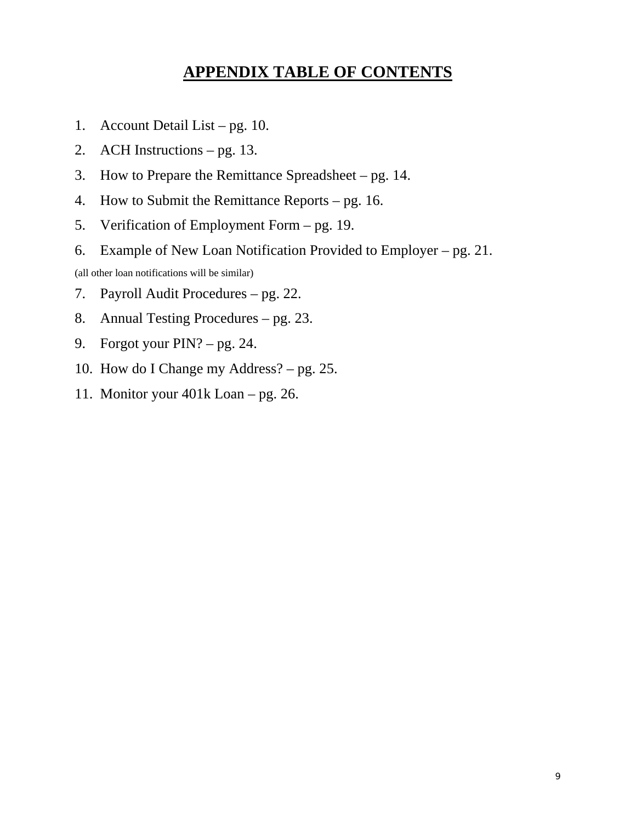## **APPENDIX TABLE OF CONTENTS**

- 1. Account Detail List pg. 10.
- 2. ACH Instructions pg. 13.
- 3. How to Prepare the Remittance Spreadsheet pg. 14.
- 4. How to Submit the Remittance Reports pg. 16.
- 5. Verification of Employment Form pg. 19.
- 6. Example of New Loan Notification Provided to Employer pg. 21.

(all other loan notifications will be similar)

- 7. Payroll Audit Procedures pg. 22.
- 8. Annual Testing Procedures pg. 23.
- 9. Forgot your PIN? pg. 24.
- 10. How do I Change my Address? pg. 25.
- 11. Monitor your 401k Loan pg. 26.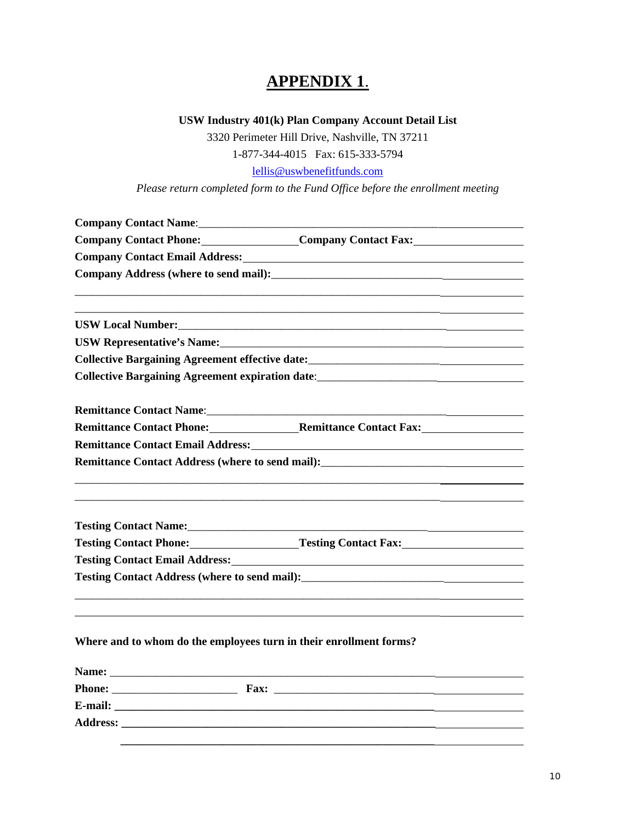### **APPENDIX 1**.

#### **USW Industry 401(k) Plan Company Account Detail List**

3320 Perimeter Hill Drive, Nashville, TN 37211

1-877-344-4015 Fax: 615-333-5794

lellis@uswbenefitfunds.com

*Please return completed form to the Fund Office before the enrollment meeting* 

|                                                                                                                                                                                                                                        | Company Contact Name: 1988 Company Contact Name:                                                                                                                                                                                          |  |  |  |  |  |
|----------------------------------------------------------------------------------------------------------------------------------------------------------------------------------------------------------------------------------------|-------------------------------------------------------------------------------------------------------------------------------------------------------------------------------------------------------------------------------------------|--|--|--|--|--|
|                                                                                                                                                                                                                                        | Company Contact Phone: Company Contact Fax:                                                                                                                                                                                               |  |  |  |  |  |
|                                                                                                                                                                                                                                        |                                                                                                                                                                                                                                           |  |  |  |  |  |
|                                                                                                                                                                                                                                        |                                                                                                                                                                                                                                           |  |  |  |  |  |
|                                                                                                                                                                                                                                        |                                                                                                                                                                                                                                           |  |  |  |  |  |
|                                                                                                                                                                                                                                        | USW Local Number: New York Contract the Contract of the Contract of the Contract of the Contract of the Contract of the Contract of the Contract of the Contract of the Contract of the Contract of the Contract of the Contra            |  |  |  |  |  |
|                                                                                                                                                                                                                                        | USW Representative's Name: Manual Communication of the Communication of the Communication of the Communication                                                                                                                            |  |  |  |  |  |
|                                                                                                                                                                                                                                        | Collective Bargaining Agreement effective date:__________________________________                                                                                                                                                         |  |  |  |  |  |
|                                                                                                                                                                                                                                        | <b>Collective Bargaining Agreement expiration date:</b> <u>contract and the contract of the set of the contract of the contract of the contract of the contract of the contract of the contract of the contract of the contract of th</u> |  |  |  |  |  |
|                                                                                                                                                                                                                                        |                                                                                                                                                                                                                                           |  |  |  |  |  |
|                                                                                                                                                                                                                                        | Remittance Contact Phone: Remittance Contact Fax:                                                                                                                                                                                         |  |  |  |  |  |
|                                                                                                                                                                                                                                        | Remittance Contact Email Address: Manual Accordination of the Contract Email Address:                                                                                                                                                     |  |  |  |  |  |
| Remittance Contact Address (where to send mail):<br><u>Letting and the send of the send of the send of the send of the send of the send of the send of the send of the send of the send of the send of the send of the send of the</u> |                                                                                                                                                                                                                                           |  |  |  |  |  |
|                                                                                                                                                                                                                                        |                                                                                                                                                                                                                                           |  |  |  |  |  |
|                                                                                                                                                                                                                                        |                                                                                                                                                                                                                                           |  |  |  |  |  |
|                                                                                                                                                                                                                                        |                                                                                                                                                                                                                                           |  |  |  |  |  |
|                                                                                                                                                                                                                                        | Testing Contact Phone: Testing Contact Fax: Testing Contact Fax:                                                                                                                                                                          |  |  |  |  |  |
|                                                                                                                                                                                                                                        | Testing Contact Email Address: No. 1996. The Contract Email Address:                                                                                                                                                                      |  |  |  |  |  |
|                                                                                                                                                                                                                                        |                                                                                                                                                                                                                                           |  |  |  |  |  |
|                                                                                                                                                                                                                                        |                                                                                                                                                                                                                                           |  |  |  |  |  |
| Where and to whom do the employees turn in their enrollment forms?                                                                                                                                                                     |                                                                                                                                                                                                                                           |  |  |  |  |  |
|                                                                                                                                                                                                                                        |                                                                                                                                                                                                                                           |  |  |  |  |  |

| <b>Phone:</b>   | Fax: |  |
|-----------------|------|--|
| E-mail:         |      |  |
| <b>Address:</b> |      |  |
|                 |      |  |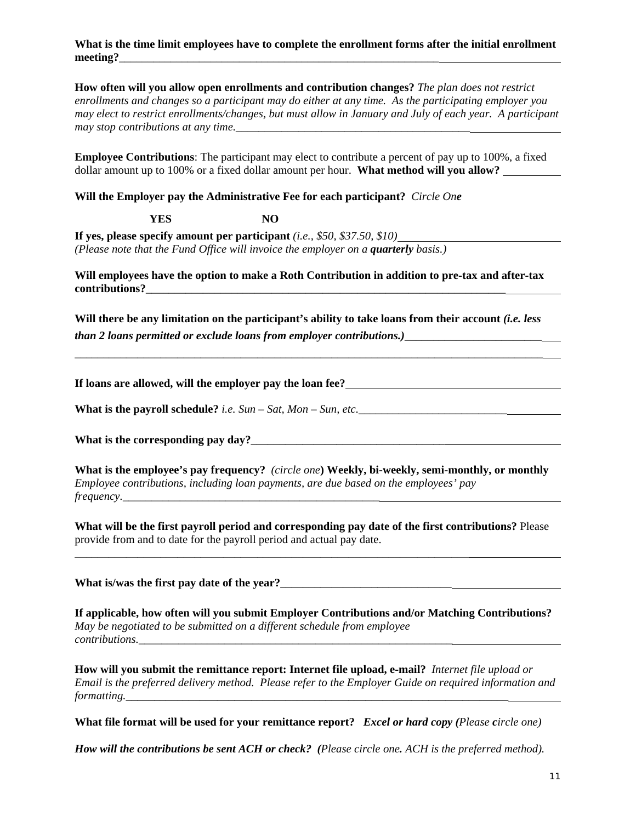#### **What is the time limit employees have to complete the enrollment forms after the initial enrollment**  meeting?

**How often will you allow open enrollments and contribution changes?** *The plan does not restrict enrollments and changes so a participant may do either at any time. As the participating employer you may elect to restrict enrollments/changes, but must allow in January and July of each year. A participant may stop contributions at any time.* 

**Employee Contributions**: The participant may elect to contribute a percent of pay up to 100%, a fixed dollar amount up to 100% or a fixed dollar amount per hour. **What method will you allow?** 

**Will the Employer pay the Administrative Fee for each participant?** *Circle One* 

**YES NO**

**If yes, please specify amount per participant** *(i.e., \$50, \$37.50, \$10) (Please note that the Fund Office will invoice the employer on a <i>quarterly* basis.)

**Will employees have the option to make a Roth Contribution in addition to pre-tax and after-tax contributions?**\_\_\_\_\_\_\_\_\_\_\_\_\_\_\_\_\_\_\_\_\_\_\_\_\_\_\_\_\_\_\_\_\_\_\_\_\_\_\_\_\_\_\_\_\_\_\_\_\_\_\_\_\_\_\_\_\_\_\_\_\_\_\_

Will there be any limitation on the participant's ability to take loans from their account *(i.e. less than 2 loans permitted or exclude loans from employer contributions.)*\_\_\_\_\_\_\_\_\_\_\_\_\_\_\_\_\_\_\_\_\_\_\_\_

\_\_\_\_\_\_\_\_\_\_\_\_\_\_\_\_\_\_\_\_\_\_\_\_\_\_\_\_\_\_\_\_\_\_\_\_\_\_\_\_\_\_\_\_\_\_\_\_\_\_\_\_\_\_\_\_\_\_\_\_\_\_\_\_\_\_\_\_\_\_\_\_\_\_\_\_\_\_\_\_\_\_

**If loans are allowed, will the employer pay the loan fee?**

**What is the payroll schedule?** *i.e. Sun – Sat, Mon – Sun, etc.*\_\_\_\_\_\_\_\_\_\_\_\_\_\_\_\_\_\_\_\_\_\_\_\_\_\_

**What is the corresponding pay day?**\_\_\_\_\_\_\_\_\_\_\_\_\_\_\_\_\_\_\_\_\_\_\_\_\_\_\_\_\_\_\_\_\_\_

**What is the employee's pay frequency?** *(circle one***) Weekly, bi-weekly, semi-monthly, or monthly**  *Employee contributions, including loan payments, are due based on the employees' pay frequency.\_\_\_\_\_\_\_\_\_\_\_\_\_\_\_\_\_\_\_\_\_\_\_\_\_\_\_\_\_\_\_\_\_\_\_\_\_\_\_\_\_\_\_\_\_*

**What will be the first payroll period and corresponding pay date of the first contributions?** Please provide from and to date for the payroll period and actual pay date.

\_\_\_\_\_\_\_\_\_\_\_\_\_\_\_\_\_\_\_\_\_\_\_\_\_\_\_\_\_\_\_\_\_\_\_\_\_\_\_\_\_\_\_\_\_\_\_\_\_\_\_\_\_\_\_\_\_\_\_\_\_\_\_\_\_\_\_\_\_

**What is/was the first pay date of the year?**\_\_\_\_\_\_\_\_\_\_\_\_\_\_\_\_\_\_\_\_\_\_\_\_\_\_\_\_\_\_

**If applicable, how often will you submit Employer Contributions and/or Matching Contributions?**  *May be negotiated to be submitted on a different schedule from employee contributions.\_\_\_\_\_\_\_\_\_\_\_\_\_\_\_\_\_\_\_\_\_\_\_\_\_\_\_\_\_\_\_\_\_\_\_\_\_\_\_\_\_\_\_\_\_\_\_\_\_\_\_\_\_\_\_*

**How will you submit the remittance report: Internet file upload, e-mail?** *Internet file upload or Email is the preferred delivery method. Please refer to the Employer Guide on required information and formatting.* 

**What file format will be used for your remittance report?** *Excel or hard copy (Please circle one)* 

*How will the contributions be sent ACH or check? (Please circle one. ACH is the preferred method).*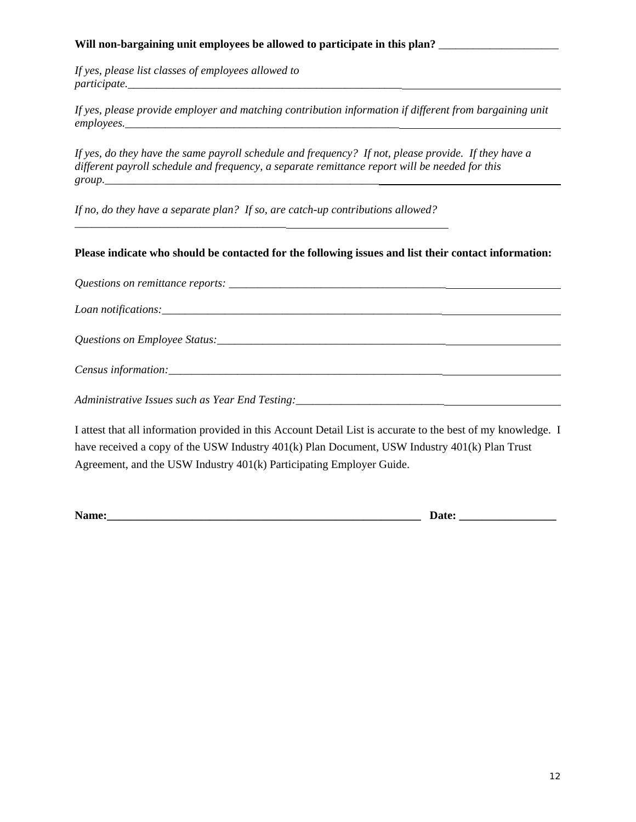#### Will non-bargaining unit employees be allowed to participate in this plan? \_\_\_\_\_\_\_\_\_\_\_\_\_\_\_\_\_\_\_\_\_\_\_\_\_\_\_\_\_\_\_\_\_\_\_

*If yes, please list classes of employees allowed to participate.\_\_\_\_\_\_\_\_\_\_\_\_\_\_\_\_\_\_\_\_\_\_\_\_\_\_\_\_\_\_\_\_\_\_\_\_\_\_\_\_\_\_\_\_\_\_\_\_*

*If yes, please provide employer and matching contribution information if different from bargaining unit employees.\_\_\_\_\_\_\_\_\_\_\_\_\_\_\_\_\_\_\_\_\_\_\_\_\_\_\_\_\_\_\_\_\_\_\_\_\_\_\_\_\_\_\_\_\_\_\_\_*

*If yes, do they have the same payroll schedule and frequency? If not, please provide. If they have a different payroll schedule and frequency, a separate remittance report will be needed for this*   $group.$ 

*If no, do they have a separate plan? If so, are catch-up contributions allowed?* 

*\_\_\_\_\_\_\_\_\_\_\_\_\_\_\_\_\_\_\_\_\_\_\_\_\_\_\_\_\_\_\_\_\_\_\_\_\_*

#### **Please indicate who should be contacted for the following issues and list their contact information:**

*Questions on remittance reports:* \_\_\_\_\_\_\_\_\_\_\_\_\_\_\_\_\_\_\_\_\_\_\_\_\_\_\_\_\_\_\_\_\_\_\_\_\_\_

*Loan notifications:\_\_\_\_\_\_\_\_\_\_\_\_\_\_\_\_\_\_\_\_\_\_\_\_\_\_\_\_\_\_\_\_\_\_\_\_\_\_\_\_\_\_\_\_\_\_\_\_\_*

*Questions on Employee Status:*\_\_\_\_\_\_\_\_\_\_\_\_\_\_\_\_\_\_\_\_\_\_\_\_\_\_\_\_\_\_\_\_\_\_\_\_\_\_\_\_

| $\sim$<br>Census information: |  |
|-------------------------------|--|
|                               |  |

*Administrative Issues such as Year End Testing:* \_\_\_\_\_\_\_\_\_\_\_\_\_\_\_\_\_\_\_\_\_\_\_\_\_\_\_\_\_\_\_\_\_

I attest that all information provided in this Account Detail List is accurate to the best of my knowledge. I have received a copy of the USW Industry 401(k) Plan Document, USW Industry 401(k) Plan Trust Agreement, and the USW Industry 401(k) Participating Employer Guide.

**Name:\_\_\_\_\_\_\_\_\_\_\_\_\_\_\_\_\_\_\_\_\_\_\_\_\_\_\_\_\_\_\_\_\_\_\_\_\_\_\_\_\_\_\_\_\_\_\_\_\_\_\_\_\_\_\_ Date: \_\_\_\_\_\_\_\_\_\_\_\_\_\_\_\_\_**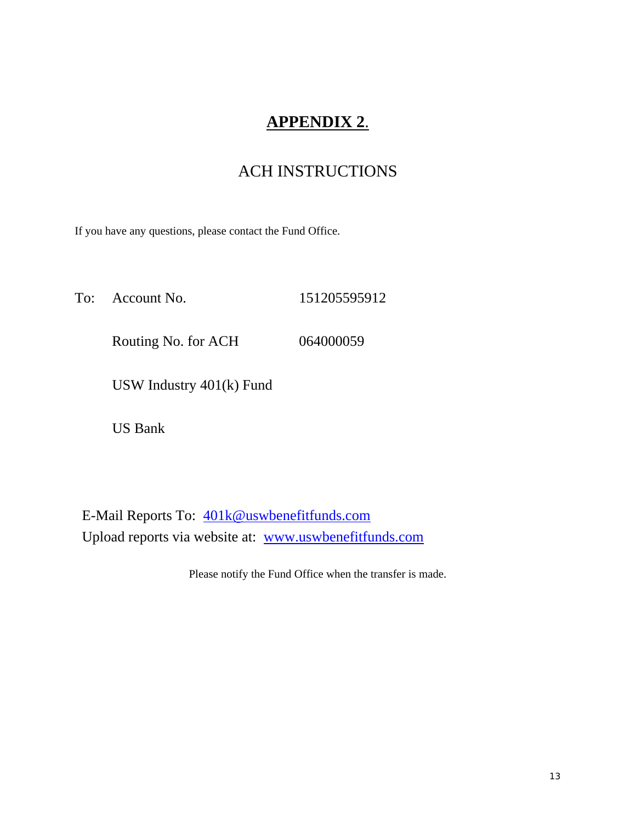## **APPENDIX 2**.

### ACH INSTRUCTIONS

If you have any questions, please contact the Fund Office.

To: Account No. 151205595912 Routing No. for ACH 064000059 USW Industry 401(k) Fund

US Bank

 E-Mail Reports To: 401k@uswbenefitfunds.com Upload reports via website at: www.uswbenefitfunds.com

Please notify the Fund Office when the transfer is made.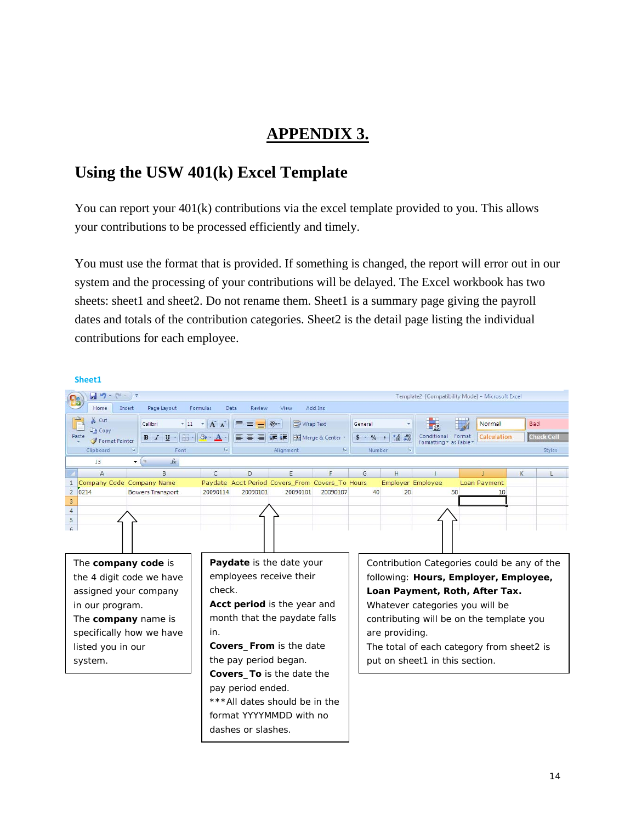## **APPENDIX 3.**

### **Using the USW 401(k) Excel Template**

You can report your  $401(k)$  contributions via the excel template provided to you. This allows your contributions to be processed efficiently and timely.

You must use the format that is provided. If something is changed, the report will error out in our system and the processing of your contributions will be delayed. The Excel workbook has two sheets: sheet1 and sheet2. Do not rename them. Sheet1 is a summary page giving the payroll dates and totals of the contribution categories. Sheet2 is the detail page listing the individual contributions for each employee.

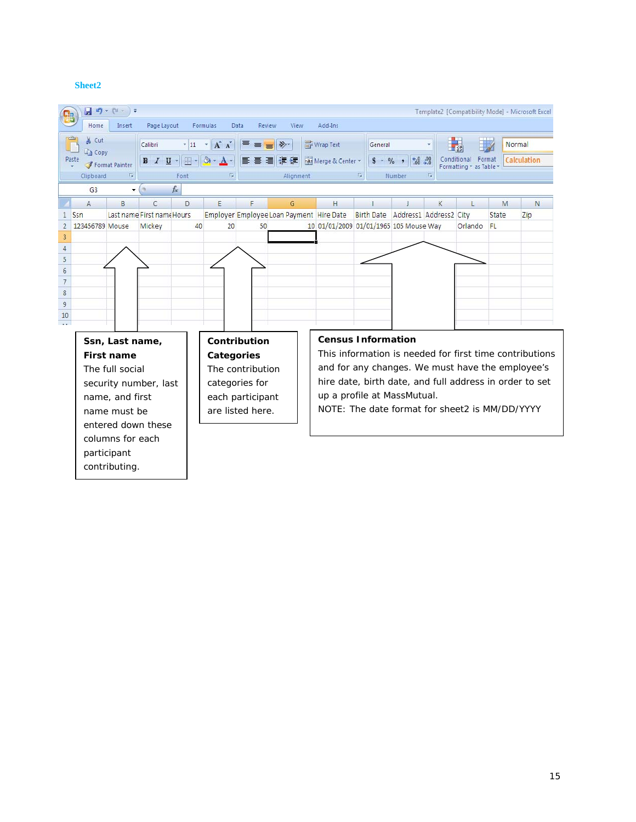#### **Sheet2**

contributing.

|                                  | 日内・は                        |                      |                             |                          |                       |                  |                                          |                |                                                         |                                |           |                                                |       | Template2 [Compatibility Mode] - Microsoft Excel        |
|----------------------------------|-----------------------------|----------------------|-----------------------------|--------------------------|-----------------------|------------------|------------------------------------------|----------------|---------------------------------------------------------|--------------------------------|-----------|------------------------------------------------|-------|---------------------------------------------------------|
|                                  | Home                        | Insert               | Page Layout                 |                          | Formulas              | Data<br>Review   | View                                     | Add-Ins        |                                                         |                                |           |                                                |       |                                                         |
|                                  | ¥.<br>Cut<br><b>Ea</b> Copy |                      | Calibri                     | $\cdot$ 11               | $A^A$<br>$\mathbf{v}$ | ≡<br>$\equiv$    | $\sum_{i=1}^{n}$<br>$\equiv$             | Wrap Text      | General                                                 |                                |           |                                                |       | Normal                                                  |
|                                  | Paste                       | Format Painter       | $B$ $I$ $U$ $*$             | $\ \cdot\ $ $\Diamond$ - | $\mathbf{A}$          | 三三               | 清福镇                                      | Merge & Center | $$ - 9/0 ,$                                             | $^{+.0}_{-.0}$ . $^{00}_{-.0}$ |           | Conditional<br>Format<br>Formatting * as Table |       | Calculation                                             |
|                                  | Clipboard                   | 反                    |                             | Font                     | 15                    |                  | Alignment                                |                | 围                                                       | Number                         | <b>15</b> |                                                |       |                                                         |
|                                  | G <sub>3</sub>              | $\blacktriangledown$ | $\mathcal{L}_{\mathcal{R}}$ | $f_x$                    |                       |                  |                                          |                |                                                         |                                |           |                                                |       |                                                         |
|                                  | A                           | B                    | C                           | D                        | F                     | F                | G                                        | H              |                                                         |                                | K         |                                                | M     | N                                                       |
|                                  | Ssn                         |                      | Last name First name Hours  |                          |                       |                  | Employer Employee Loan Payment Hire Date |                | Birth Date Address1 Address2 City                       |                                |           |                                                | State | Zip                                                     |
|                                  | 123456789 Mouse             |                      | Mickey                      | 40                       | 20                    | 50               |                                          |                | 10 01/01/2009 01/01/1965 105 Mouse Way                  |                                |           | Orlando                                        | FL.   |                                                         |
| $\overline{3}$<br>$\overline{4}$ |                             |                      |                             |                          |                       |                  |                                          |                |                                                         |                                |           |                                                |       |                                                         |
| 5                                |                             |                      |                             |                          |                       |                  |                                          |                |                                                         |                                |           |                                                |       |                                                         |
| 6                                |                             |                      |                             |                          |                       |                  |                                          |                |                                                         |                                |           |                                                |       |                                                         |
| $\overline{7}$                   |                             |                      |                             |                          |                       |                  |                                          |                |                                                         |                                |           |                                                |       |                                                         |
| $\,$ 8 $\,$                      |                             |                      |                             |                          |                       |                  |                                          |                |                                                         |                                |           |                                                |       |                                                         |
| $\overline{9}$                   |                             |                      |                             |                          |                       |                  |                                          |                |                                                         |                                |           |                                                |       |                                                         |
| 10                               |                             |                      |                             |                          |                       |                  |                                          |                |                                                         |                                |           |                                                |       |                                                         |
|                                  |                             | Ssn, Last name,      |                             |                          |                       | Contribution     |                                          |                | <b>Census Information</b>                               |                                |           |                                                |       |                                                         |
|                                  |                             | <b>First name</b>    |                             |                          | Categories            |                  |                                          |                |                                                         |                                |           |                                                |       | This information is needed for first time contributions |
|                                  |                             | The full social      |                             |                          |                       | The contribution |                                          |                | and for any changes. We must have the employee's        |                                |           |                                                |       |                                                         |
|                                  |                             |                      |                             |                          |                       |                  |                                          |                | hire date, birth date, and full address in order to set |                                |           |                                                |       |                                                         |
|                                  |                             |                      | security number, last       |                          |                       | categories for   |                                          |                |                                                         |                                |           |                                                |       |                                                         |
|                                  |                             | name, and first      |                             |                          |                       | each participant |                                          |                | up a profile at MassMutual.                             |                                |           |                                                |       |                                                         |
|                                  |                             | name must be         |                             |                          |                       | are listed here. |                                          |                | NOTE: The date format for sheet2 is MM/DD/YYYY          |                                |           |                                                |       |                                                         |
|                                  |                             |                      | entered down these          |                          |                       |                  |                                          |                |                                                         |                                |           |                                                |       |                                                         |
|                                  |                             | columns for each     |                             |                          |                       |                  |                                          |                |                                                         |                                |           |                                                |       |                                                         |
|                                  |                             | participant          |                             |                          |                       |                  |                                          |                |                                                         |                                |           |                                                |       |                                                         |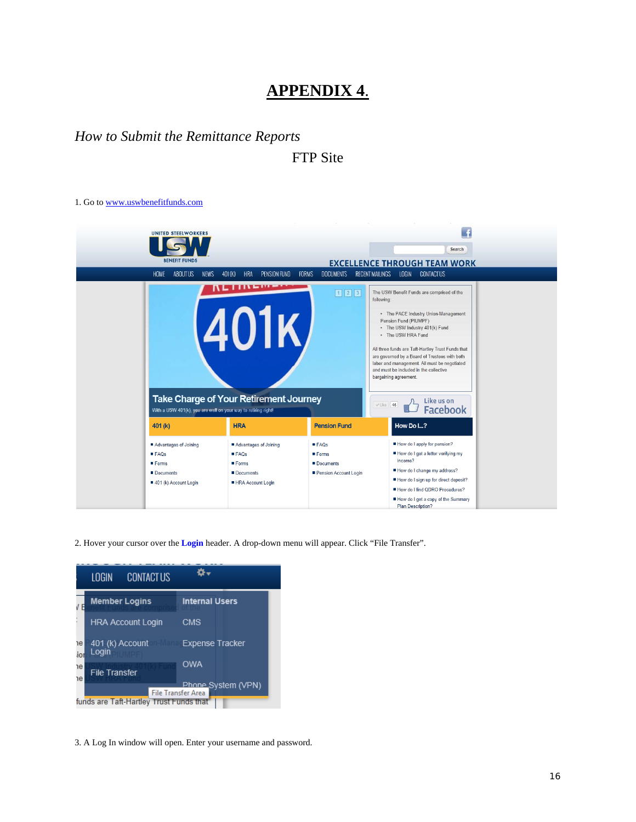### **APPENDIX 4**.

#### *How to Submit the Remittance Reports*

FTP Site

1. Go to www.uswbenefitfunds.com



2. Hover your cursor over the **Login** header. A drop-down menu will appear. Click "File Transfer".

|           | <b>CONTACT US</b><br>LOGIN              |                                                 |
|-----------|-----------------------------------------|-------------------------------------------------|
|           | <b>Member Logins</b>                    | <b>Internal Users</b>                           |
|           | <b>HRA Account Login</b>                | <b>CMS</b>                                      |
| ٦e<br>ior | 401 (k) Account<br>Login                | <b>Expense Tracker</b>                          |
| ٦e<br>٦e  | <b>File Transfer</b>                    | <b>OWA</b>                                      |
|           | funds are Taft-Hartley Trust Funds that | Phone System (VPN)<br><b>File Transfer Area</b> |

3. A Log In window will open. Enter your username and password.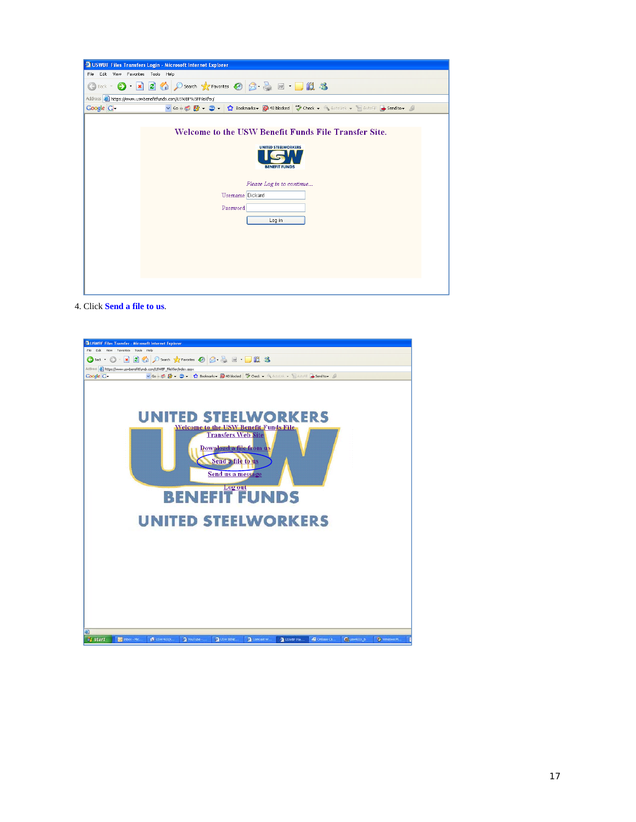| <b>E USWBF Files Transfers Login - Microsoft Internet Explorer</b>                                                                                                                                                                                                                   |  |  |  |  |  |
|--------------------------------------------------------------------------------------------------------------------------------------------------------------------------------------------------------------------------------------------------------------------------------------|--|--|--|--|--|
| Edit View Favorites Tools Help<br>File                                                                                                                                                                                                                                               |  |  |  |  |  |
| O - R O O Search * Favorites @ Q - & M - B 3<br>$\bigodot$ Back $\tau$                                                                                                                                                                                                               |  |  |  |  |  |
| Address <b>&amp;</b> https://www.uswbenefitfunds.com/USWBF%5FFileXfer/                                                                                                                                                                                                               |  |  |  |  |  |
| $\vee$ Go $\phi$ $\otimes$ $\bullet$ $\bullet$ $\bullet$ $\bullet$ $\bullet$ $\bullet$ $\bullet$ <b>Sookmarks <math>\bullet</math></b> $\otimes$ 40 blocked $\circ$ $\circ$ Check $\bullet$ $\bullet$ AutoLink $\bullet$ $\circ$ AutoFill $\bullet$ Send to $\bullet$ A<br>Google G- |  |  |  |  |  |
| Welcome to the USW Benefit Funds File Transfer Site.<br><b>UNITED STEELWORKERS</b><br><b>BENEFIT FUNDS</b><br>Please Log in to continue<br>Username Dickard<br>Password<br>Log in                                                                                                    |  |  |  |  |  |
|                                                                                                                                                                                                                                                                                      |  |  |  |  |  |
|                                                                                                                                                                                                                                                                                      |  |  |  |  |  |

4. Click **Send a file to us**.

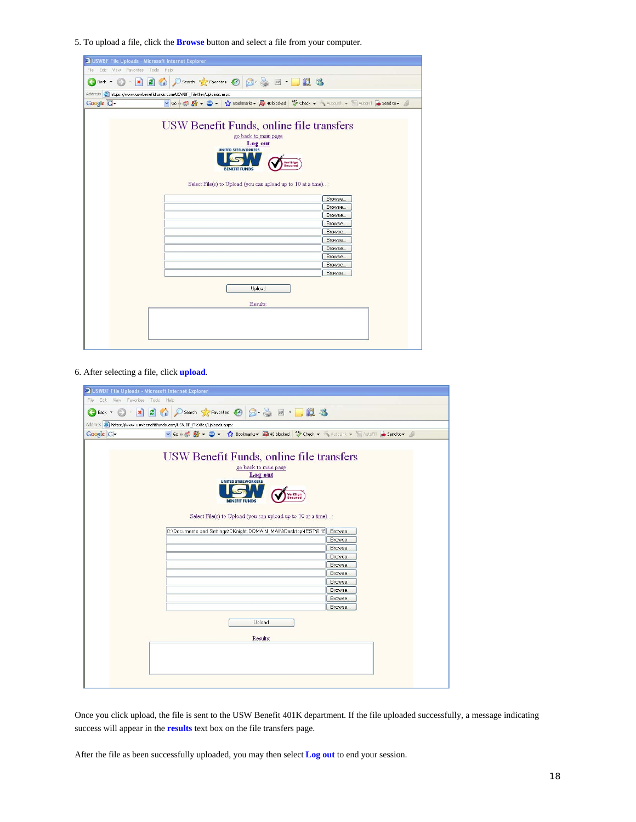5. To upload a file, click the **Browse** button and select a file from your computer.

| USWBF File Uploads - Microsoft Internet Explorer                                                        |         |  |  |  |  |
|---------------------------------------------------------------------------------------------------------|---------|--|--|--|--|
| Edit<br>View Favorites Tools<br>Help<br>File                                                            |         |  |  |  |  |
| ◎ Psearch ☆ Favorites → 图 图 图 器<br> z <br>$\pmb{\times}$<br>Back -                                      |         |  |  |  |  |
| Address <b>&amp; https://www.uswbenefitfunds.com/USWBF_FileXfer/Uploads.aspx</b>                        |         |  |  |  |  |
| v Go + S Ex + C + C Bookmarks + C 40 blocked V Check + AutoLink + E AutoFill B Send to + C<br>Google G- |         |  |  |  |  |
|                                                                                                         |         |  |  |  |  |
| USW Benefit Funds, online file transfers                                                                |         |  |  |  |  |
|                                                                                                         |         |  |  |  |  |
| go back to main page                                                                                    |         |  |  |  |  |
| Log out<br><b>UNITED STEELWORKERS</b>                                                                   |         |  |  |  |  |
|                                                                                                         |         |  |  |  |  |
| VeriSign<br>Secured                                                                                     |         |  |  |  |  |
| <b>BENEFIT FUNDS</b>                                                                                    |         |  |  |  |  |
| Select File(s) to Upload (you can upload up to 10 at a time):                                           |         |  |  |  |  |
|                                                                                                         |         |  |  |  |  |
|                                                                                                         | Browse  |  |  |  |  |
|                                                                                                         | Browse. |  |  |  |  |
|                                                                                                         | Browse. |  |  |  |  |
|                                                                                                         | Browse. |  |  |  |  |
|                                                                                                         | Browse. |  |  |  |  |
|                                                                                                         | Browse. |  |  |  |  |
|                                                                                                         | Browse. |  |  |  |  |
|                                                                                                         | Browse. |  |  |  |  |
| Browse.                                                                                                 |         |  |  |  |  |
| Browse.                                                                                                 |         |  |  |  |  |
|                                                                                                         |         |  |  |  |  |
| Upload                                                                                                  |         |  |  |  |  |
|                                                                                                         |         |  |  |  |  |
| Results:                                                                                                |         |  |  |  |  |
|                                                                                                         |         |  |  |  |  |
|                                                                                                         |         |  |  |  |  |
|                                                                                                         |         |  |  |  |  |
|                                                                                                         |         |  |  |  |  |
|                                                                                                         |         |  |  |  |  |

6. After selecting a file, click **upload**.

| <b>2 USWBF File Uploads - Microsoft Internet Explorer</b> |                                                                                                                                                                                                                                                                                        |                                                              |  |  |  |
|-----------------------------------------------------------|----------------------------------------------------------------------------------------------------------------------------------------------------------------------------------------------------------------------------------------------------------------------------------------|--------------------------------------------------------------|--|--|--|
| File<br>Edit                                              | View Favorites Tools Help                                                                                                                                                                                                                                                              |                                                              |  |  |  |
| $ \mathbf{x} $<br>G<br>Back -                             | 2 <sup>o</sup><br>$\frac{163}{}$                                                                                                                                                                                                                                                       |                                                              |  |  |  |
|                                                           | Address & https://www.uswbenefitfunds.com/USWBF_FileXfer/Uploads.aspx                                                                                                                                                                                                                  |                                                              |  |  |  |
| Google G-                                                 | v Go + G + C + C + C Bookmarks + Q 40 blocked 45 Check + N AutoLink + E AutoFill & Send to + A                                                                                                                                                                                         |                                                              |  |  |  |
|                                                           | USW Benefit Funds, online file transfers<br>go back to main page<br>Log out<br><b>UNITED STEELWORKERS</b><br>VeriSign<br>Secured<br><b>BENEFIT</b><br>Select File(s) to Upload (you can upload up to 10 at a time):<br>C:\Documents and Settings\CKnight.DOMAIN_MAIN\Desktop\tEST\6.15 | Browse<br>Browse.<br>Browse.<br>Browse<br>Browse.<br>Browse. |  |  |  |
|                                                           |                                                                                                                                                                                                                                                                                        | Browse.                                                      |  |  |  |
|                                                           |                                                                                                                                                                                                                                                                                        | Browse.                                                      |  |  |  |
|                                                           |                                                                                                                                                                                                                                                                                        | Browse.                                                      |  |  |  |
| Browse                                                    |                                                                                                                                                                                                                                                                                        |                                                              |  |  |  |
| Upload<br>Results:                                        |                                                                                                                                                                                                                                                                                        |                                                              |  |  |  |

Once you click upload, the file is sent to the USW Benefit 401K department. If the file uploaded successfully, a message indicating success will appear in the **results** text box on the file transfers page.

After the file as been successfully uploaded, you may then select **Log out** to end your session.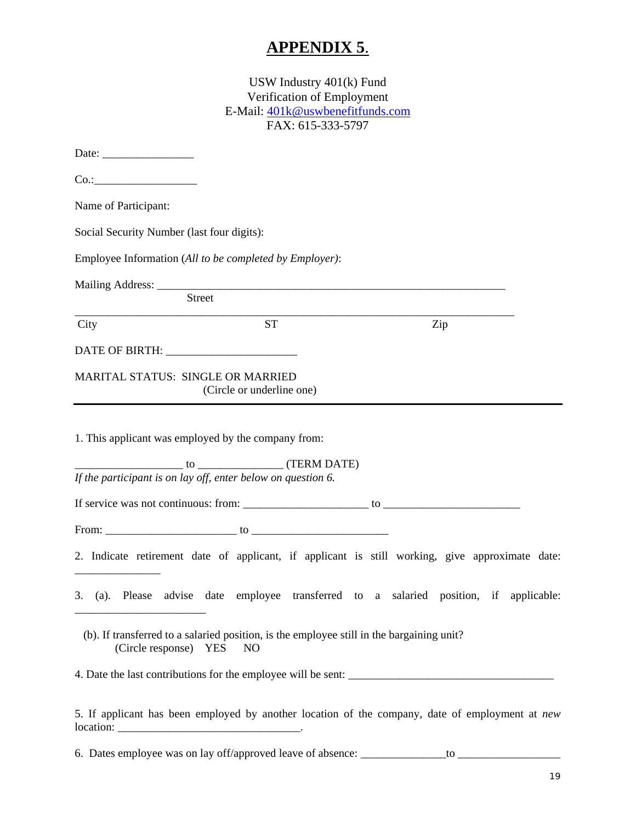## **APPENDIX 5**.

| USW Industry $401(k)$ Fund<br>Verification of Employment<br>E-Mail: 401k@uswbenefitfunds.com<br>FAX: 615-333-5797                                                   |  |  |  |  |  |
|---------------------------------------------------------------------------------------------------------------------------------------------------------------------|--|--|--|--|--|
|                                                                                                                                                                     |  |  |  |  |  |
|                                                                                                                                                                     |  |  |  |  |  |
| Name of Participant:                                                                                                                                                |  |  |  |  |  |
| Social Security Number (last four digits):                                                                                                                          |  |  |  |  |  |
| Employee Information (All to be completed by Employer):                                                                                                             |  |  |  |  |  |
|                                                                                                                                                                     |  |  |  |  |  |
| <b>Street</b>                                                                                                                                                       |  |  |  |  |  |
| <b>ST</b><br>Zip<br>City                                                                                                                                            |  |  |  |  |  |
|                                                                                                                                                                     |  |  |  |  |  |
| <b>MARITAL STATUS: SINGLE OR MARRIED</b><br>(Circle or underline one)                                                                                               |  |  |  |  |  |
| 1. This applicant was employed by the company from:<br>$\frac{1}{10}$ to $\frac{1}{10}$ (TERM DATE)<br>If the participant is on lay off, enter below on question 6. |  |  |  |  |  |
|                                                                                                                                                                     |  |  |  |  |  |
|                                                                                                                                                                     |  |  |  |  |  |
| 2. Indicate retirement date of applicant, if applicant is still working, give approximate date:                                                                     |  |  |  |  |  |
| 3. (a). Please advise date employee transferred to a salaried position, if applicable:                                                                              |  |  |  |  |  |
| (b). If transferred to a salaried position, is the employee still in the bargaining unit?<br>(Circle response) YES<br>NO                                            |  |  |  |  |  |
|                                                                                                                                                                     |  |  |  |  |  |
| 5. If applicant has been employed by another location of the company, date of employment at new                                                                     |  |  |  |  |  |

6. Dates employee was on lay off/approved leave of absence: \_\_\_\_\_\_\_\_\_\_\_\_\_\_\_to \_\_\_\_\_\_\_\_\_\_\_\_\_\_\_\_\_\_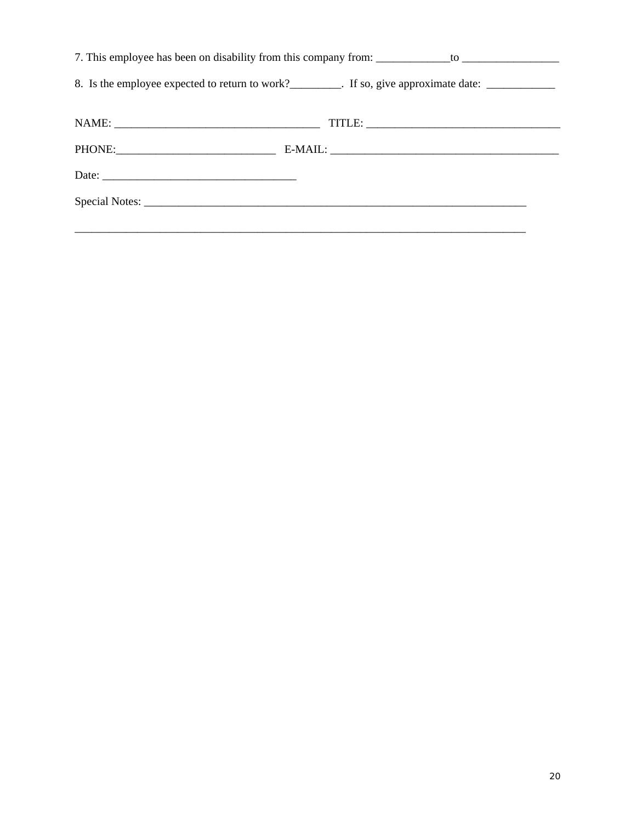| 8. Is the employee expected to return to work?__________. If so, give approximate date: ____________ |  |  |  |  |  |
|------------------------------------------------------------------------------------------------------|--|--|--|--|--|
|                                                                                                      |  |  |  |  |  |
|                                                                                                      |  |  |  |  |  |
|                                                                                                      |  |  |  |  |  |
|                                                                                                      |  |  |  |  |  |
|                                                                                                      |  |  |  |  |  |
|                                                                                                      |  |  |  |  |  |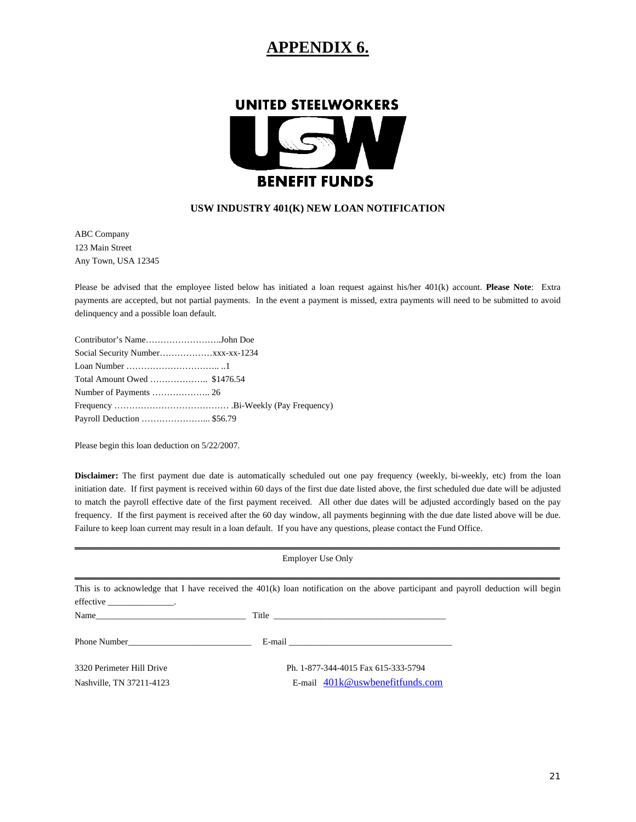### **APPENDIX 6.**



#### **USW INDUSTRY 401(K) NEW LOAN NOTIFICATION**

ABC Company 123 Main Street Any Town, USA 12345

Please be advised that the employee listed below has initiated a loan request against his/her 401(k) account. **Please Note**: Extra payments are accepted, but not partial payments. In the event a payment is missed, extra payments will need to be submitted to avoid delinquency and a possible loan default.

| Contributor's NameJohn Doe   |  |
|------------------------------|--|
|                              |  |
|                              |  |
| Total Amount Owed  \$1476.54 |  |
|                              |  |
|                              |  |
| Payroll Deduction  \$56.79   |  |

Please begin this loan deduction on 5/22/2007.

**Disclaimer:** The first payment due date is automatically scheduled out one pay frequency (weekly, bi-weekly, etc) from the loan initiation date. If first payment is received within 60 days of the first due date listed above, the first scheduled due date will be adjusted to match the payroll effective date of the first payment received. All other due dates will be adjusted accordingly based on the pay frequency. If the first payment is received after the 60 day window, all payments beginning with the due date listed above will be due. Failure to keep loan current may result in a loan default. If you have any questions, please contact the Fund Office.

| <b>Employer Use Only</b>    |                                     |  |
|-----------------------------|-------------------------------------|--|
|                             |                                     |  |
| effective ________________. |                                     |  |
|                             |                                     |  |
| Phone Number                |                                     |  |
| 3320 Perimeter Hill Drive   | Ph. 1-877-344-4015 Fax 615-333-5794 |  |
| Nashville, TN 37211-4123    | E-mail $401k@$ uswbenefitfunds.com  |  |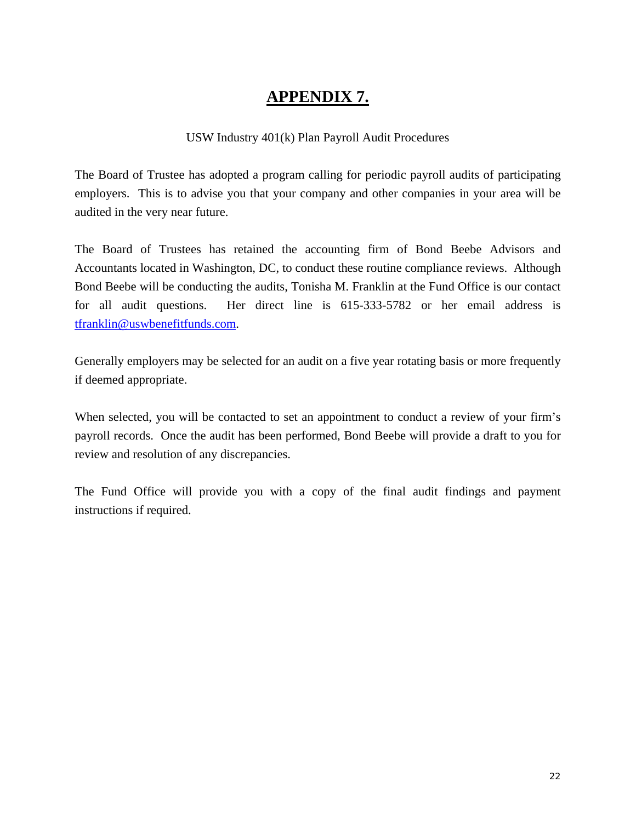## **APPENDIX 7.**

#### USW Industry 401(k) Plan Payroll Audit Procedures

The Board of Trustee has adopted a program calling for periodic payroll audits of participating employers. This is to advise you that your company and other companies in your area will be audited in the very near future.

The Board of Trustees has retained the accounting firm of Bond Beebe Advisors and Accountants located in Washington, DC, to conduct these routine compliance reviews. Although Bond Beebe will be conducting the audits, Tonisha M. Franklin at the Fund Office is our contact for all audit questions. Her direct line is 615-333-5782 or her email address is tfranklin@uswbenefitfunds.com.

Generally employers may be selected for an audit on a five year rotating basis or more frequently if deemed appropriate.

When selected, you will be contacted to set an appointment to conduct a review of your firm's payroll records. Once the audit has been performed, Bond Beebe will provide a draft to you for review and resolution of any discrepancies.

The Fund Office will provide you with a copy of the final audit findings and payment instructions if required.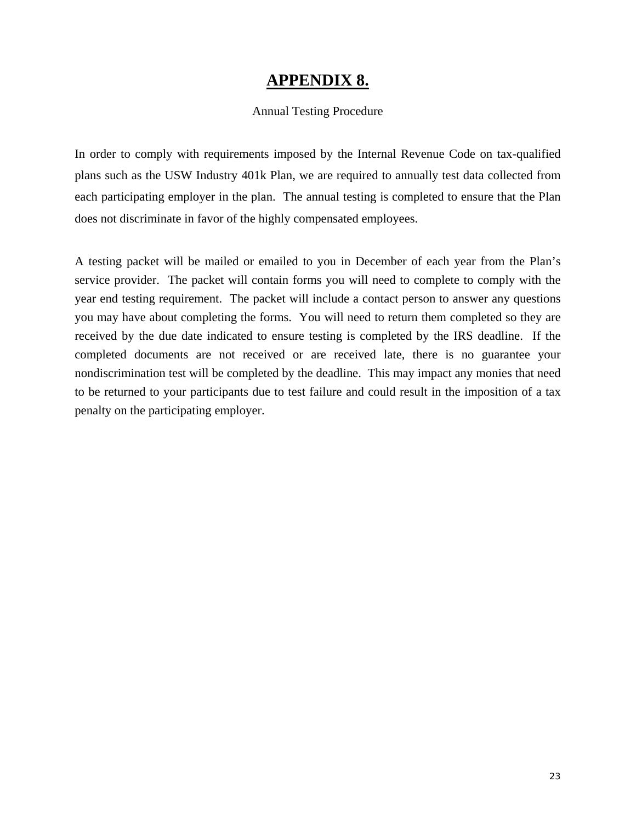#### **APPENDIX 8.**

#### Annual Testing Procedure

In order to comply with requirements imposed by the Internal Revenue Code on tax-qualified plans such as the USW Industry 401k Plan, we are required to annually test data collected from each participating employer in the plan. The annual testing is completed to ensure that the Plan does not discriminate in favor of the highly compensated employees.

A testing packet will be mailed or emailed to you in December of each year from the Plan's service provider. The packet will contain forms you will need to complete to comply with the year end testing requirement. The packet will include a contact person to answer any questions you may have about completing the forms. You will need to return them completed so they are received by the due date indicated to ensure testing is completed by the IRS deadline. If the completed documents are not received or are received late, there is no guarantee your nondiscrimination test will be completed by the deadline. This may impact any monies that need to be returned to your participants due to test failure and could result in the imposition of a tax penalty on the participating employer.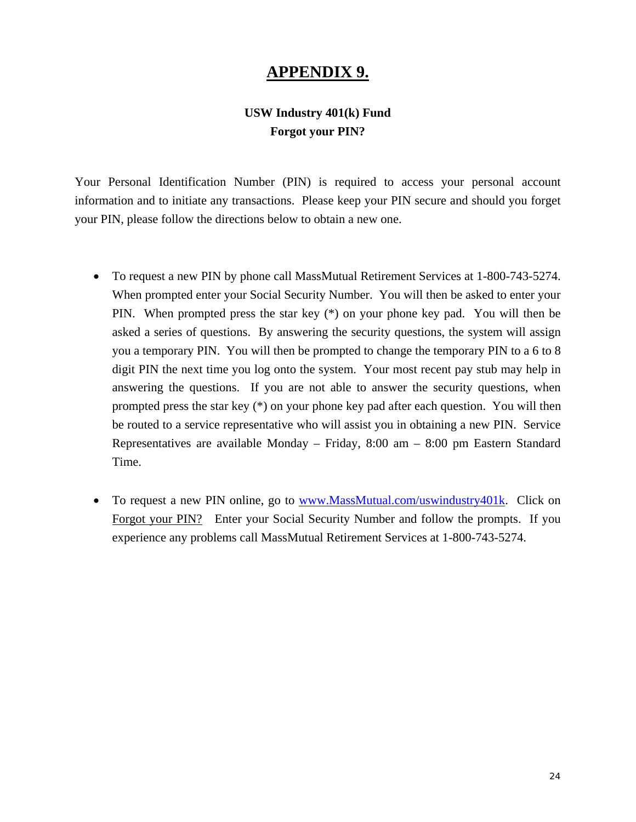#### **APPENDIX 9.**

#### **USW Industry 401(k) Fund Forgot your PIN?**

Your Personal Identification Number (PIN) is required to access your personal account information and to initiate any transactions. Please keep your PIN secure and should you forget your PIN, please follow the directions below to obtain a new one.

- To request a new PIN by phone call MassMutual Retirement Services at 1-800-743-5274. When prompted enter your Social Security Number. You will then be asked to enter your PIN. When prompted press the star key (\*) on your phone key pad. You will then be asked a series of questions. By answering the security questions, the system will assign you a temporary PIN. You will then be prompted to change the temporary PIN to a 6 to 8 digit PIN the next time you log onto the system. Your most recent pay stub may help in answering the questions. If you are not able to answer the security questions, when prompted press the star key (\*) on your phone key pad after each question. You will then be routed to a service representative who will assist you in obtaining a new PIN. Service Representatives are available Monday – Friday, 8:00 am – 8:00 pm Eastern Standard Time.
- To request a new PIN online, go to www.MassMutual.com/uswindustry401k. Click on Forgot your PIN? Enter your Social Security Number and follow the prompts. If you experience any problems call MassMutual Retirement Services at 1-800-743-5274.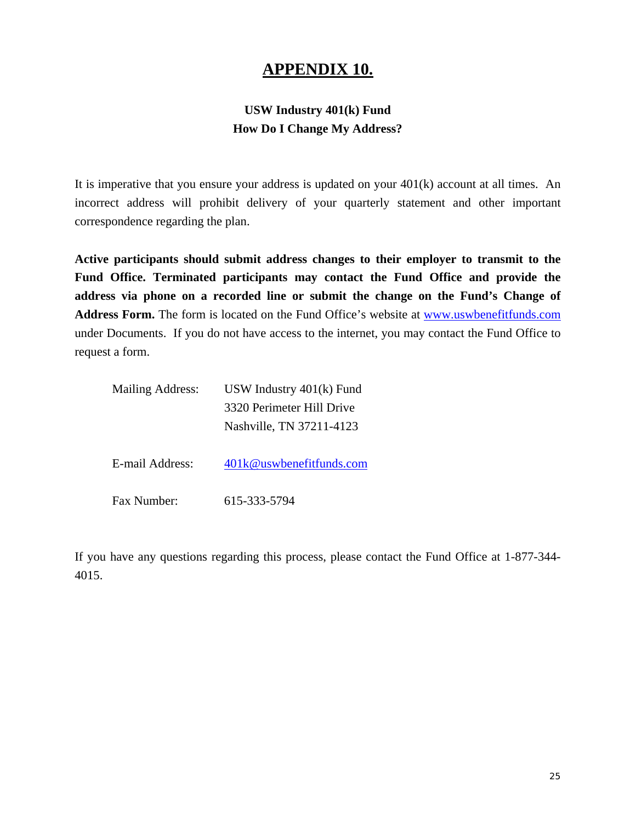### **APPENDIX 10.**

#### **USW Industry 401(k) Fund How Do I Change My Address?**

It is imperative that you ensure your address is updated on your 401(k) account at all times. An incorrect address will prohibit delivery of your quarterly statement and other important correspondence regarding the plan.

**Active participants should submit address changes to their employer to transmit to the Fund Office. Terminated participants may contact the Fund Office and provide the address via phone on a recorded line or submit the change on the Fund's Change of Address Form.** The form is located on the Fund Office's website at www.uswbenefitfunds.com under Documents. If you do not have access to the internet, you may contact the Fund Office to request a form.

| <b>Mailing Address:</b> | USW Industry $401(k)$ Fund |
|-------------------------|----------------------------|
|                         | 3320 Perimeter Hill Drive  |
|                         | Nashville, TN 37211-4123   |
|                         |                            |
| E-mail Address:         | 401k@uswbenefitfunds.com   |
|                         |                            |
| Fax Number:             | 615-333-5794               |

If you have any questions regarding this process, please contact the Fund Office at 1-877-344- 4015.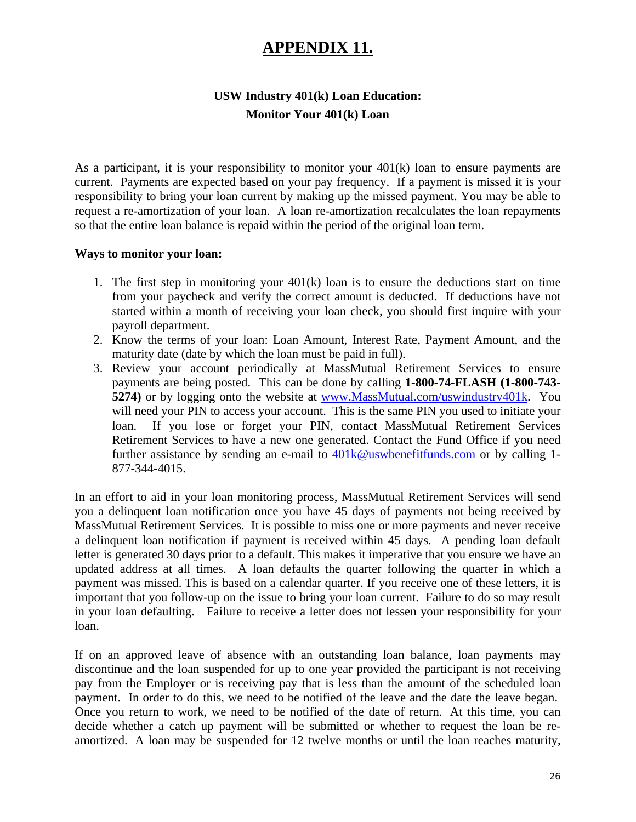## **APPENDIX 11.**

#### **USW Industry 401(k) Loan Education: Monitor Your 401(k) Loan**

As a participant, it is your responsibility to monitor your 401(k) loan to ensure payments are current. Payments are expected based on your pay frequency. If a payment is missed it is your responsibility to bring your loan current by making up the missed payment. You may be able to request a re-amortization of your loan. A loan re-amortization recalculates the loan repayments so that the entire loan balance is repaid within the period of the original loan term.

#### **Ways to monitor your loan:**

- 1. The first step in monitoring your  $401(k)$  loan is to ensure the deductions start on time from your paycheck and verify the correct amount is deducted. If deductions have not started within a month of receiving your loan check, you should first inquire with your payroll department.
- 2. Know the terms of your loan: Loan Amount, Interest Rate, Payment Amount, and the maturity date (date by which the loan must be paid in full).
- 3. Review your account periodically at MassMutual Retirement Services to ensure payments are being posted. This can be done by calling **1-800-74-FLASH (1-800-743- 5274**) or by logging onto the website at www.MassMutual.com/uswindustry401k. You will need your PIN to access your account. This is the same PIN you used to initiate your loan. If you lose or forget your PIN, contact MassMutual Retirement Services Retirement Services to have a new one generated. Contact the Fund Office if you need further assistance by sending an e-mail to 401k@uswbenefitfunds.com or by calling 1- 877-344-4015.

In an effort to aid in your loan monitoring process, MassMutual Retirement Services will send you a delinquent loan notification once you have 45 days of payments not being received by MassMutual Retirement Services. It is possible to miss one or more payments and never receive a delinquent loan notification if payment is received within 45 days. A pending loan default letter is generated 30 days prior to a default. This makes it imperative that you ensure we have an updated address at all times. A loan defaults the quarter following the quarter in which a payment was missed. This is based on a calendar quarter. If you receive one of these letters, it is important that you follow-up on the issue to bring your loan current. Failure to do so may result in your loan defaulting. Failure to receive a letter does not lessen your responsibility for your loan.

If on an approved leave of absence with an outstanding loan balance, loan payments may discontinue and the loan suspended for up to one year provided the participant is not receiving pay from the Employer or is receiving pay that is less than the amount of the scheduled loan payment. In order to do this, we need to be notified of the leave and the date the leave began. Once you return to work, we need to be notified of the date of return. At this time, you can decide whether a catch up payment will be submitted or whether to request the loan be reamortized. A loan may be suspended for 12 twelve months or until the loan reaches maturity,